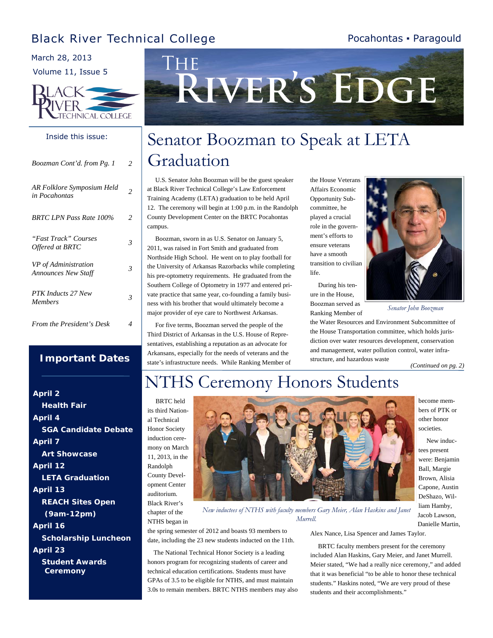### Black River Technical College

#### Pocahontas ▪ Paragould

March 28, 2013

Volume 11, Issue 5



#### Inside this issue:

| Boozman Cont'd. from Pg. 1                         | 2 |
|----------------------------------------------------|---|
| AR Folklore Symposium Held<br>in Pocahontas        | 2 |
| <b>BRTC LPN Pass Rate 100%</b>                     | 2 |
| "Fast Track" Courses<br>Offered at BRTC            | 3 |
| VP of Administration<br><b>Announces New Staff</b> | 3 |
| PTK Inducts 27 New<br><b>Members</b>               | 3 |
| From the President's Desk                          | 4 |

#### **Important Dates**

*April 2 Health Fair April 4 SGA Candidate Debate April 7 Art Showcase April 12 LETA Graduation April 13 REACH Sites Open (9am-12pm) April 16 Scholarship Luncheon April 23 Student Awards Ceremony* 



## Senator Boozman to Speak at LETA Graduation

 U.S. Senator John Boozman will be the guest speaker at Black River Technical College's Law Enforcement Training Academy (LETA) graduation to be held April 12. The ceremony will begin at 1:00 p.m. in the Randolph County Development Center on the BRTC Pocahontas campus.

 Boozman, sworn in as U.S. Senator on January 5, 2011, was raised in Fort Smith and graduated from Northside High School. He went on to play football for the University of Arkansas Razorbacks while completing his pre-optometry requirements. He graduated from the Southern College of Optometry in 1977 and entered private practice that same year, co-founding a family business with his brother that would ultimately become a major provider of eye care to Northwest Arkansas.

 For five terms, Boozman served the people of the Third District of Arkansas in the U.S. House of Representatives, establishing a reputation as an advocate for Arkansans, especially for the needs of veterans and the state's infrastructure needs. While Ranking Member of the House Veterans Affairs Economic Opportunity Subcommittee, he played a crucial role in the government's efforts to ensure veterans have a smooth transition to civilian life.

 During his tenure in the House, Boozman served as Ranking Member of



*Senator John Boozman* 

the Water Resources and Environment Subcommittee of the House Transportation committee, which holds jurisdiction over water resources development, conservation and management, water pollution control, water infrastructure, and hazardous waste

*(Continued on pg. 2)* 

## NTHS Ceremony Honors Students

 BRTC held its third National Technical Honor Society induction ceremony on March 11, 2013, in the Randolph County Development Center auditorium. Black River's

chapter of the



become members of PTK or other honor societies.

 New inductees present were: Benjamin Ball, Margie Brown, Alisia Capone, Austin DeShazo, William Hamby, Jacob Lawson, Danielle Martin,

NTHS began in *New inductees of NTHS with faculty members Gary Meier, Alan Haskins and Janet Murrell.* 

the spring semester of 2012 and boasts 93 members to date, including the 23 new students inducted on the 11th.

 The National Technical Honor Society is a leading honors program for recognizing students of career and technical education certifications. Students must have GPAs of 3.5 to be eligible for NTHS, and must maintain 3.0s to remain members. BRTC NTHS members may also Alex Nance, Lisa Spencer and James Taylor.

 BRTC faculty members present for the ceremony included Alan Haskins, Gary Meier, and Janet Murrell. Meier stated, "We had a really nice ceremony," and added that it was beneficial "to be able to honor these technical students." Haskins noted, "We are very proud of these students and their accomplishments."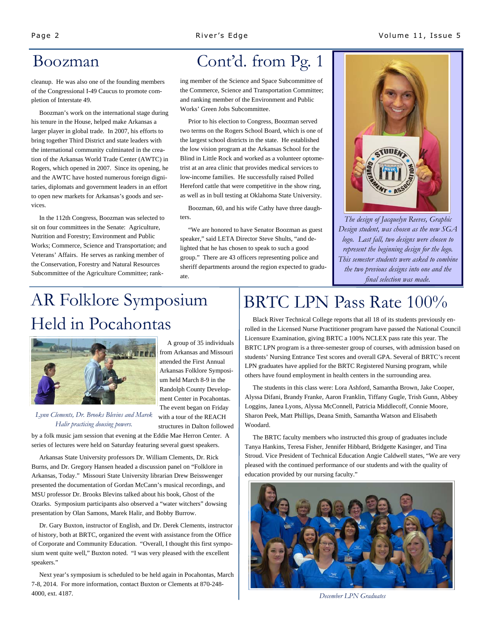cleanup. He was also one of the founding members of the Congressional I-49 Caucus to promote completion of Interstate 49.

 Boozman's work on the international stage during his tenure in the House, helped make Arkansas a larger player in global trade. In 2007, his efforts to bring together Third District and state leaders with the international community culminated in the creation of the Arkansas World Trade Center (AWTC) in Rogers, which opened in 2007. Since its opening, he and the AWTC have hosted numerous foreign dignitaries, diplomats and government leaders in an effort to open new markets for Arkansas's goods and services.

 In the 112th Congress, Boozman was selected to sit on four committees in the Senate: Agriculture, Nutrition and Forestry; Environment and Public Works; Commerce, Science and Transportation; and Veterans' Affairs. He serves as ranking member of the Conservation, Forestry and Natural Resources Subcommittee of the Agriculture Committee; rank-

## Boozman Cont'd. from Pg. 1

ing member of the Science and Space Subcommittee of the Commerce, Science and Transportation Committee; and ranking member of the Environment and Public Works' Green Jobs Subcommittee.

 Prior to his election to Congress, Boozman served two terms on the Rogers School Board, which is one of the largest school districts in the state. He established the low vision program at the Arkansas School for the Blind in Little Rock and worked as a volunteer optometrist at an area clinic that provides medical services to low-income families. He successfully raised Polled Hereford cattle that were competitive in the show ring, as well as in bull testing at Oklahoma State University.

 Boozman, 60, and his wife Cathy have three daughters.

 "We are honored to have Senator Boozman as guest speaker," said LETA Director Steve Shults, "and delighted that he has chosen to speak to such a good group." There are 43 officers representing police and sheriff departments around the region expected to graduate.



*The design of Jacquelyn Reeves, Graphic Design student, was chosen as the new SGA logo. Last fall, two designs were chosen to represent the beginning design for the logo. This semester students were asked to combine the two previous designs into one and the final selection was made.* 

# AR Folklore Symposium Held in Pocahontas



 A group of 35 individuals from Arkansas and Missouri attended the First Annual Arkansas Folklore Symposium held March 8-9 in the Randolph County Development Center in Pocahontas. The event began on Friday with a tour of the REACH structures in Dalton followed

*Lynn Clements, Dr. Brooks Blevins and Marek Halir practicing dousing powers.* 

by a folk music jam session that evening at the Eddie Mae Herron Center. A series of lectures were held on Saturday featuring several guest speakers.

 Arkansas State University professors Dr. William Clements, Dr. Rick Burns, and Dr. Gregory Hansen headed a discussion panel on "Folklore in Arkansas, Today." Missouri State University librarian Drew Beisswenger presented the documentation of Gordan McCann's musical recordings, and MSU professor Dr. Brooks Blevins talked about his book, Ghost of the Ozarks. Symposium participants also observed a "water witchers" dowsing presentation by Olan Samons, Marek Halir, and Bobby Burrow.

 Dr. Gary Buxton, instructor of English, and Dr. Derek Clements, instructor of history, both at BRTC, organized the event with assistance from the Office of Corporate and Community Education. "Overall, I thought this first symposium went quite well," Buxton noted. "I was very pleased with the excellent speakers."

 Next year's symposium is scheduled to be held again in Pocahontas, March 7-8, 2014. For more information, contact Buxton or Clements at 870-248- 4000, ext. 4187. *December LPN Graduates* 

# BRTC LPN Pass Rate 100%

 Black River Technical College reports that all 18 of its students previously enrolled in the Licensed Nurse Practitioner program have passed the National Council Licensure Examination, giving BRTC a 100% NCLEX pass rate this year. The BRTC LPN program is a three-semester group of courses, with admission based on students' Nursing Entrance Test scores and overall GPA. Several of BRTC's recent LPN graduates have applied for the BRTC Registered Nursing program, while others have found employment in health centers in the surrounding area.

 The students in this class were: Lora Ashford, Samantha Brown, Jake Cooper, Alyssa Difani, Brandy Franke, Aaron Franklin, Tiffany Gugle, Trish Gunn, Abbey Loggins, Janea Lyons, Alyssa McConnell, Patricia Middlecoff, Connie Moore, Sharon Peek, Matt Phillips, Deana Smith, Samantha Watson and Elisabeth Woodard.

 The BRTC faculty members who instructed this group of graduates include Tanya Hankins, Teresa Fisher, Jennifer Hibbard, Bridgette Kasinger, and Tina Stroud. Vice President of Technical Education Angie Caldwell states, "We are very pleased with the continued performance of our students and with the quality of education provided by our nursing faculty."

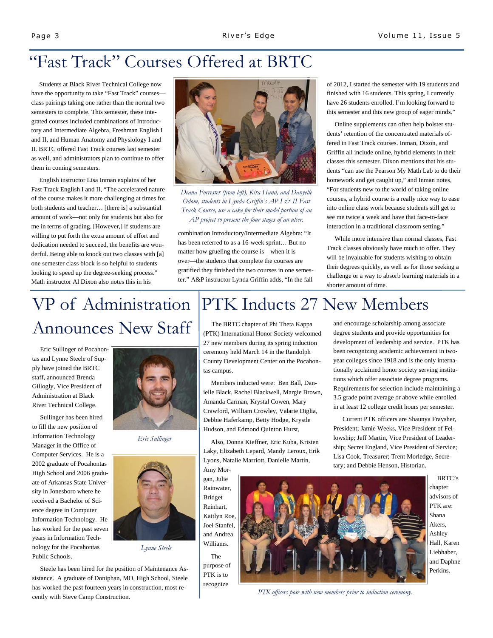## "Fast Track" Courses Offered at BRTC

 Students at Black River Technical College now have the opportunity to take "Fast Track" coursesclass pairings taking one rather than the normal two semesters to complete. This semester, these integrated courses included combinations of Introductory and Intermediate Algebra, Freshman English I and II, and Human Anatomy and Physiology I and II. BRTC offered Fast Track courses last semester as well, and administrators plan to continue to offer them in coming semesters.

 English instructor Lisa Inman explains of her Fast Track English I and II, "The accelerated nature of the course makes it more challenging at times for both students and teacher… [there is] a substantial amount of work—not only for students but also for me in terms of grading. [However,] if students are willing to put forth the extra amount of effort and dedication needed to succeed, the benefits are wonderful. Being able to knock out two classes with [a] one semester class block is so helpful to students looking to speed up the degree-seeking process." Math instructor Al Dixon also notes this in his



*Deana Forrester (from left), Kira Hand, and Danyelle Odom, students in Lynda Griffin's AP I & II Fast Track Course, use a cake for their model portion of an AP project to present the four stages of an ulcer.* 

combination Introductory/Intermediate Algebra: "It has been referred to as a 16-week sprint… But no matter how grueling the course is—when it is over—the students that complete the courses are gratified they finished the two courses in one semester." A&P instructor Lynda Griffin adds, "In the fall

of 2012, I started the semester with 19 students and finished with 16 students. This spring, I currently have 26 students enrolled. I'm looking forward to this semester and this new group of eager minds."

 Online supplements can often help bolster students' retention of the concentrated materials offered in Fast Track courses. Inman, Dixon, and Griffin all include online, hybrid elements in their classes this semester. Dixon mentions that his students "can use the Pearson My Math Lab to do their homework and get caught up," and Inman notes, "For students new to the world of taking online courses, a hybrid course is a really nice way to ease into online class work because students still get to see me twice a week and have that face-to-face interaction in a traditional classroom setting."

 While more intensive than normal classes, Fast Track classes obviously have much to offer. They will be invaluable for students wishing to obtain their degrees quickly, as well as for those seeking a challenge or a way to absorb learning materials in a shorter amount of time.

and encourage scholarship among associate degree students and provide opportunities for development of leadership and service. PTK has been recognizing academic achievement in twoyear colleges since 1918 and is the only internationally acclaimed honor society serving institutions which offer associate degree programs. Requirements for selection include maintaining a 3.5 grade point average or above while enrolled in at least 12 college credit hours per semester. Current PTK officers are Shaunya Fraysher, President; Jamie Weeks, Vice President of Fellowship; Jeff Martin, Vice President of Leadership; Secret England, Vice President of Service;

# VP of Administration Announces New Staff

 Eric Sullinger of Pocahontas and Lynne Steele of Supply have joined the BRTC staff, announced Brenda Gillogly, Vice President of Administration at Black River Technical College.

 Sullinger has been hired to fill the new position of Information Technology Manager in the Office of Computer Services. He is a 2002 graduate of Pocahontas High School and 2006 graduate of Arkansas State University in Jonesboro where he received a Bachelor of Science degree in Computer Information Technology. He has worked for the past seven years in Information Technology for the Pocahontas Public Schools.



*Eric Sullinger* 



*Lynne Steele* 

 Steele has been hired for the position of Maintenance Assistance. A graduate of Doniphan, MO, High School, Steele has worked the past fourteen years in construction, most recently with Steve Camp Construction.

## PTK Inducts 27 New Members

 The BRTC chapter of Phi Theta Kappa (PTK) International Honor Society welcomed 27 new members during its spring induction ceremony held March 14 in the Randolph County Development Center on the Pocahontas campus.

 Members inducted were: Ben Ball, Danielle Black, Rachel Blackwell, Margie Brown, Amanda Carman, Krystal Cowen, Mary Crawford, William Crowley, Valarie Diglia, Debbie Haferkamp, Betty Hodge, Krystle Hudson, and Edmond Quinton Hurst,

 Also, Donna Kieffner, Eric Kuba, Kristen Laky, Elizabeth Lepard, Mandy Leroux, Erik Lyons, Natalie Marriott, Danielle Martin,

Amy Morgan, Julie Rainwater, Bridget Reinhart, Kaitlyn Roe, Joel Stanfel, and Andrea Williams. The

purpose of PTK is to recognize



 BRTC's chapter advisors of PTK are: Shana Akers, Ashley Hall, Karen Liebhaber, and Daphne Perkins.

*PTK officers pose with new members prior to induction ceremony.*